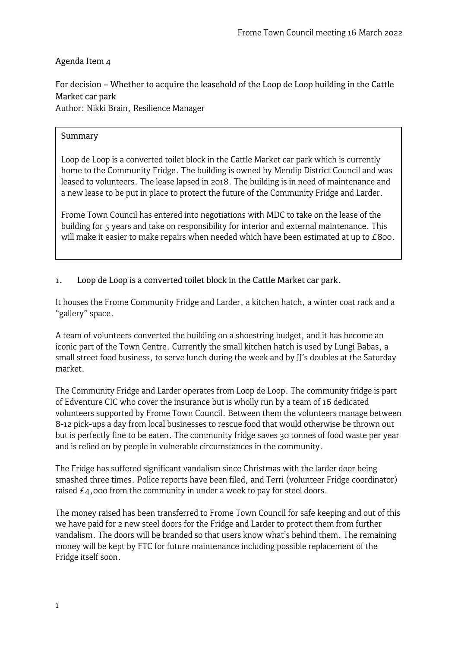# Agenda Item 4

For decision – Whether to acquire the leasehold of the Loop de Loop building in the Cattle Market car park Author: Nikki Brain, Resilience Manager

# Summary

Loop de Loop is a converted toilet block in the Cattle Market car park which is currently home to the Community Fridge. The building is owned by Mendip District Council and was leased to volunteers. The lease lapsed in 2018. The building is in need of maintenance and a new lease to be put in place to protect the future of the Community Fridge and Larder.

Frome Town Council has entered into negotiations with MDC to take on the lease of the building for 5 years and take on responsibility for interior and external maintenance. This will make it easier to make repairs when needed which have been estimated at up to £800.

1. Loop de Loop is a converted toilet block in the Cattle Market car park.

It houses the Frome Community Fridge and Larder, a kitchen hatch, a winter coat rack and a "gallery" space.

A team of volunteers converted the building on a shoestring budget, and it has become an iconic part of the Town Centre. Currently the small kitchen hatch is used by Lungi Babas, a small street food business, to serve lunch during the week and by JJ's doubles at the Saturday market.

The Community Fridge and Larder operates from Loop de Loop. The community fridge is part of Edventure CIC who cover the insurance but is wholly run by a team of 16 dedicated volunteers supported by Frome Town Council. Between them the volunteers manage between 8-12 pick-ups a day from local businesses to rescue food that would otherwise be thrown out but is perfectly fine to be eaten. The community fridge saves 30 tonnes of food waste per year and is relied on by people in vulnerable circumstances in the community.

The Fridge has suffered significant vandalism since Christmas with the larder door being smashed three times. Police reports have been filed, and Terri (volunteer Fridge coordinator) raised  $E_4$ ,000 from the community in under a week to pay for steel doors.

The money raised has been transferred to Frome Town Council for safe keeping and out of this we have paid for 2 new steel doors for the Fridge and Larder to protect them from further vandalism. The doors will be branded so that users know what's behind them. The remaining money will be kept by FTC for future maintenance including possible replacement of the Fridge itself soon.